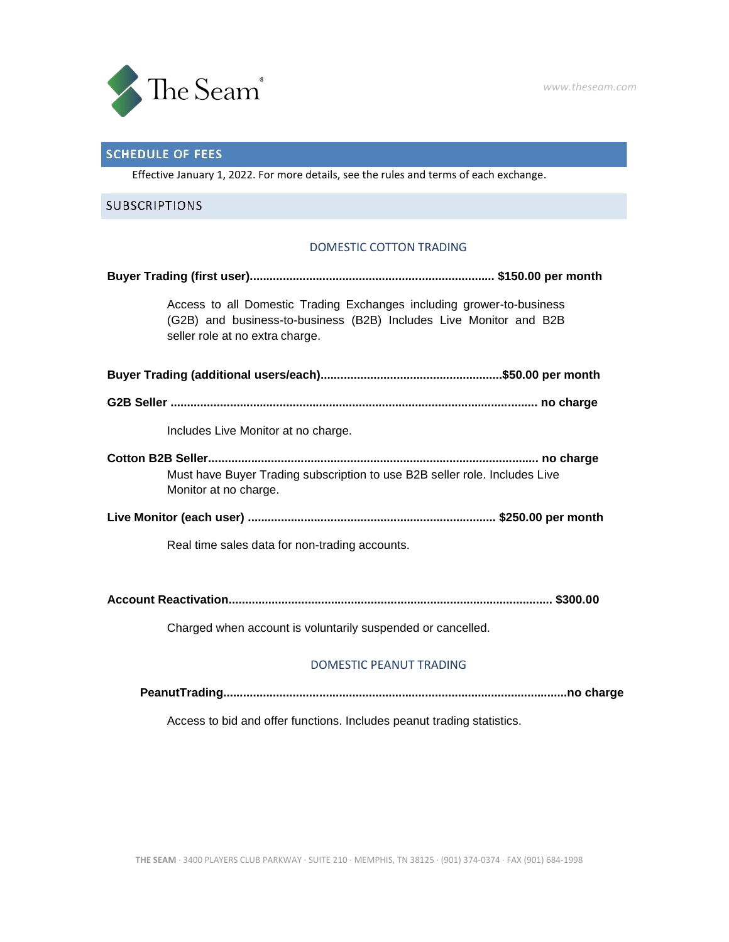

# **SCHEDULE OF FEES**

Effective January 1, 2022. For more details, see the rules and terms of each exchange.

## **SUBSCRIPTIONS**

#### DOMESTIC COTTON TRADING

| Access to all Domestic Trading Exchanges including grower-to-business<br>(G2B) and business-to-business (B2B) Includes Live Monitor and B2B<br>seller role at no extra charge. |  |  |
|--------------------------------------------------------------------------------------------------------------------------------------------------------------------------------|--|--|
|                                                                                                                                                                                |  |  |
|                                                                                                                                                                                |  |  |
| Includes Live Monitor at no charge.                                                                                                                                            |  |  |
| Must have Buyer Trading subscription to use B2B seller role. Includes Live<br>Monitor at no charge.                                                                            |  |  |
|                                                                                                                                                                                |  |  |
| Real time sales data for non-trading accounts.                                                                                                                                 |  |  |
|                                                                                                                                                                                |  |  |

Charged when account is voluntarily suspended or cancelled.

#### DOMESTIC PEANUT TRADING

Access to bid and offer functions. Includes peanut trading statistics.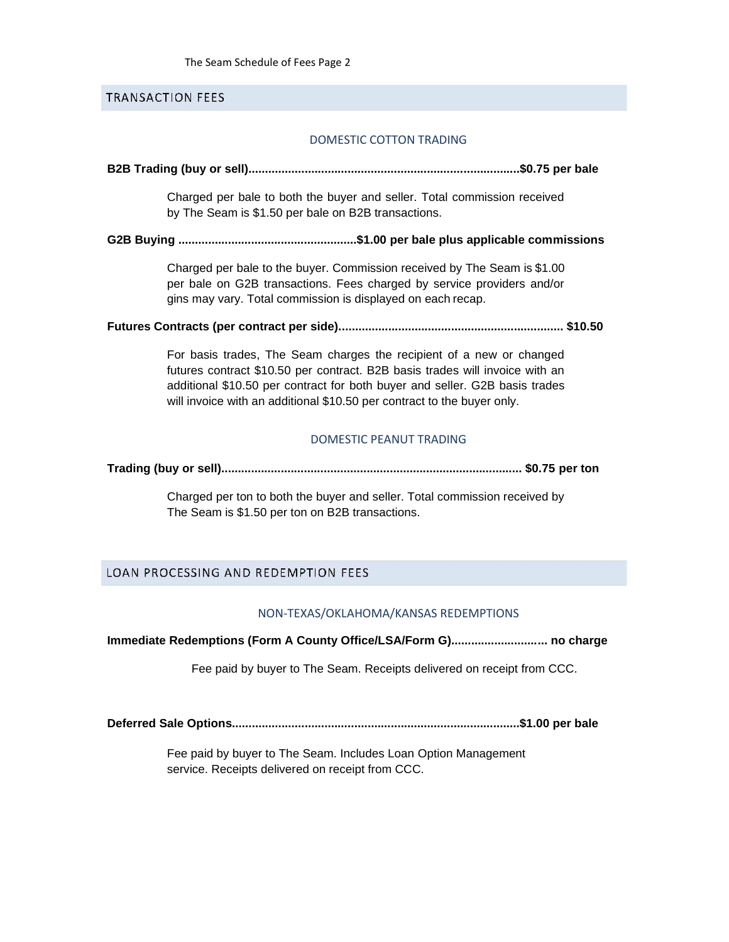#### **TRANSACTION FEES**

#### DOMESTIC COTTON TRADING

#### **B2B Trading (buy or sell)..................................................................................\$0.75 per bale**

Charged per bale to both the buyer and seller. Total commission received by The Seam is \$1.50 per bale on B2B transactions.

**G2B Buying ......................................................\$1.00 per bale plus applicable commissions**

Charged per bale to the buyer. Commission received by The Seam is \$1.00 per bale on G2B transactions. Fees charged by service providers and/or gins may vary. Total commission is displayed on each recap.

**Futures Contracts (per contract per side).................................................................... \$10.50**

For basis trades, The Seam charges the recipient of a new or changed futures contract \$10.50 per contract. B2B basis trades will invoice with an additional \$10.50 per contract for both buyer and seller. G2B basis trades will invoice with an additional \$10.50 per contract to the buyer only.

#### DOMESTIC PEANUT TRADING

**Trading (buy or sell)........................................................................................... \$0.75 per ton**

Charged per ton to both the buyer and seller. Total commission received by The Seam is \$1.50 per ton on B2B transactions.

### LOAN PROCESSING AND REDEMPTION FEES

#### NON-TEXAS/OKLAHOMA/KANSAS REDEMPTIONS

**Immediate Redemptions (Form A County Office/LSA/Form G)............................. no charge**

Fee paid by buyer to The Seam. Receipts delivered on receipt from CCC.

**Deferred Sale Options.......................................................................................\$1.00 per bale**

Fee paid by buyer to The Seam. Includes Loan Option Management service. Receipts delivered on receipt from CCC.